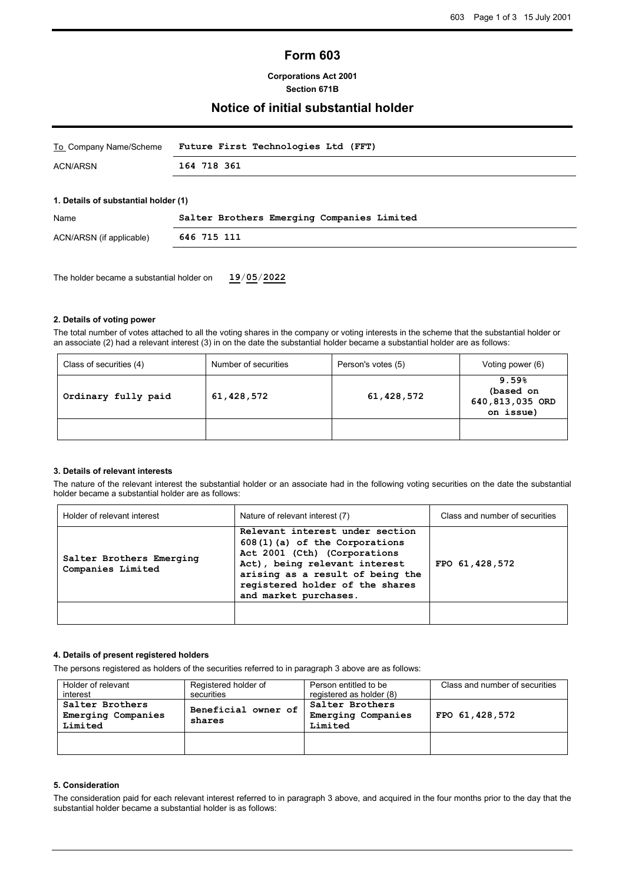# **Form 603**

### **Corporations Act 2001 Section 671B**

## **Notice of initial substantial holder**

| To_Company Name/Scheme | Future First Technologies Ltd (FFT) |
|------------------------|-------------------------------------|
| ACN/ARSN               | 164 718 361                         |

### **1. Details of substantial holder (1)**

| Name                     | Salter Brothers Emerging Companies Limited |  |
|--------------------------|--------------------------------------------|--|
| ACN/ARSN (if applicable) | 646 715 111                                |  |
|                          |                                            |  |

The holder became a substantial holder on **19**/**05**/**2022**

### **2. Details of voting power**

The total number of votes attached to all the voting shares in the company or voting interests in the scheme that the substantial holder or an associate (2) had a relevant interest (3) in on the date the substantial holder became a substantial holder are as follows:

| Class of securities (4)           | Number of securities | Person's votes (5) | Voting power (6)                                   |
|-----------------------------------|----------------------|--------------------|----------------------------------------------------|
| 61,428,572<br>Ordinary fully paid |                      | 61,428,572         | 9.59%<br>(based on<br>640,813,035 ORD<br>on issue) |
|                                   |                      |                    |                                                    |

### **3. Details of relevant interests**

The nature of the relevant interest the substantial holder or an associate had in the following voting securities on the date the substantial holder became a substantial holder are as follows:

| Holder of relevant interest                   | Nature of relevant interest (7)                                                                                                                                                                                                   | Class and number of securities |
|-----------------------------------------------|-----------------------------------------------------------------------------------------------------------------------------------------------------------------------------------------------------------------------------------|--------------------------------|
| Salter Brothers Emerging<br>Companies Limited | Relevant interest under section<br>608(1)(a) of the Corporations<br>Act 2001 (Cth) (Corporations<br>Act), being relevant interest<br>arising as a result of being the<br>registered holder of the shares<br>and market purchases. | FPO 61, 428, 572               |
|                                               |                                                                                                                                                                                                                                   |                                |

### **4. Details of present registered holders**

The persons registered as holders of the securities referred to in paragraph 3 above are as follows:

| Holder of relevant<br>interest                                                    | Registered holder of<br>securities | Person entitled to be<br>registered as holder (8) | Class and number of securities |
|-----------------------------------------------------------------------------------|------------------------------------|---------------------------------------------------|--------------------------------|
| Salter Brothers<br>Beneficial owner of<br>Emerging Companies<br>shares<br>Limited |                                    | Salter Brothers<br>Emerging Companies<br>Limited  | FPO 61, 428, 572               |
|                                                                                   |                                    |                                                   |                                |

### **5. Consideration**

The consideration paid for each relevant interest referred to in paragraph 3 above, and acquired in the four months prior to the day that the substantial holder became a substantial holder is as follows: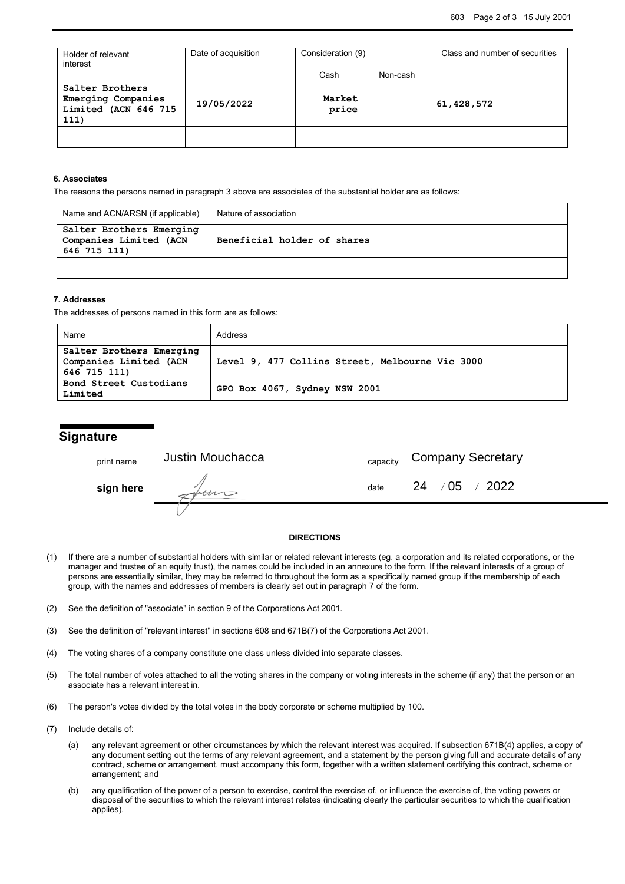| Holder of relevant<br>interest                                        | Date of acquisition | Consideration (9) |          | Class and number of securities |
|-----------------------------------------------------------------------|---------------------|-------------------|----------|--------------------------------|
|                                                                       |                     | Cash              | Non-cash |                                |
| Salter Brothers<br>Emerging Companies<br>Limited (ACN 646 715<br>111) | 19/05/2022          | Market<br>price   |          | 61, 428, 572                   |
|                                                                       |                     |                   |          |                                |

### **6. Associates**

The reasons the persons named in paragraph 3 above are associates of the substantial holder are as follows:

| Name and ACN/ARSN (if applicable)                                  | Nature of association       |  |
|--------------------------------------------------------------------|-----------------------------|--|
| Salter Brothers Emerging<br>Companies Limited (ACN<br>646 715 111) | Beneficial holder of shares |  |
|                                                                    |                             |  |

#### **7. Addresses**

The addresses of persons named in this form are as follows:

| Name                                               | Address                                         |  |
|----------------------------------------------------|-------------------------------------------------|--|
| Salter Brothers Emerging<br>Companies Limited (ACN | Level 9, 477 Collins Street, Melbourne Vic 3000 |  |
| 646 715 111)                                       |                                                 |  |
| Bond Street Custodians                             | GPO Box 4067, Sydney NSW 2001                   |  |
| Limited                                            |                                                 |  |

# **Signature**

| print name | Justin Mouchacca | capacity | <b>Company Secretary</b>             |
|------------|------------------|----------|--------------------------------------|
| sign here  |                  | date     | $\sim$ /05<br>$\frac{1}{2022}$<br>24 |
|            |                  |          |                                      |

### **DIRECTIONS**

- (1) If there are a number of substantial holders with similar or related relevant interests (eg. a corporation and its related corporations, or the manager and trustee of an equity trust), the names could be included in an annexure to the form. If the relevant interests of a group of persons are essentially similar, they may be referred to throughout the form as a specifically named group if the membership of each group, with the names and addresses of members is clearly set out in paragraph 7 of the form.
- (2) See the definition of "associate" in section 9 of the Corporations Act 2001.
- (3) See the definition of "relevant interest" in sections 608 and 671B(7) of the Corporations Act 2001.
- (4) The voting shares of a company constitute one class unless divided into separate classes.
- (5) The total number of votes attached to all the voting shares in the company or voting interests in the scheme (if any) that the person or an associate has a relevant interest in.
- (6) The person's votes divided by the total votes in the body corporate or scheme multiplied by 100.
- (7) Include details of:
	- (a) any relevant agreement or other circumstances by which the relevant interest was acquired. If subsection 671B(4) applies, a copy of any document setting out the terms of any relevant agreement, and a statement by the person giving full and accurate details of any contract, scheme or arrangement, must accompany this form, together with a written statement certifying this contract, scheme or arrangement; and
	- (b) any qualification of the power of a person to exercise, control the exercise of, or influence the exercise of, the voting powers or disposal of the securities to which the relevant interest relates (indicating clearly the particular securities to which the qualification applies).